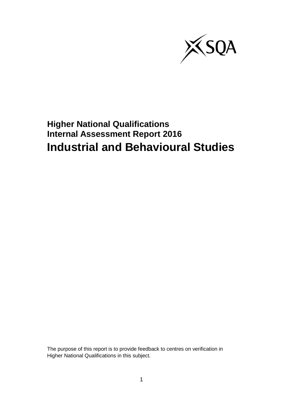

# **Higher National Qualifications Internal Assessment Report 2016 Industrial and Behavioural Studies**

The purpose of this report is to provide feedback to centres on verification in Higher National Qualifications in this subject.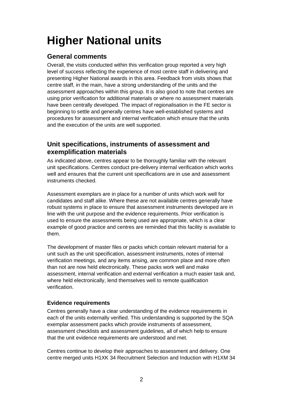# **Higher National units**

# **General comments**

Overall, the visits conducted within this verification group reported a very high level of success reflecting the experience of most centre staff in delivering and presenting Higher National awards in this area. Feedback from visits shows that centre staff, in the main, have a strong understanding of the units and the assessment approaches within this group. It is also good to note that centres are using prior verification for additional materials or where no assessment materials have been centrally developed. The impact of regionalisation in the FE sector is beginning to settle and generally centres have well-established systems and procedures for assessment and internal verification which ensure that the units and the execution of the units are well supported.

### **Unit specifications, instruments of assessment and exemplification materials**

As indicated above, centres appear to be thoroughly familiar with the relevant unit specifications. Centres conduct pre-delivery internal verification which works well and ensures that the current unit specifications are in use and assessment instruments checked.

Assessment exemplars are in place for a number of units which work well for candidates and staff alike. Where these are not available centres generally have robust systems in place to ensure that assessment instruments developed are in line with the unit purpose and the evidence requirements. Prior verification is used to ensure the assessments being used are appropriate, which is a clear example of good practice and centres are reminded that this facility is available to them.

The development of master files or packs which contain relevant material for a unit such as the unit specification, assessment instruments, notes of internal verification meetings, and any items arising, are common place and more often than not are now held electronically. These packs work well and make assessment, internal verification and external verification a much easier task and, where held electronically, lend themselves well to remote qualification verification.

#### **Evidence requirements**

Centres generally have a clear understanding of the evidence requirements in each of the units externally verified. This understanding is supported by the SQA exemplar assessment packs which provide instruments of assessment, assessment checklists and assessment guidelines, all of which help to ensure that the unit evidence requirements are understood and met.

Centres continue to develop their approaches to assessment and delivery. One centre merged units H1XK 34 Recruitment Selection and Induction with H1XM 34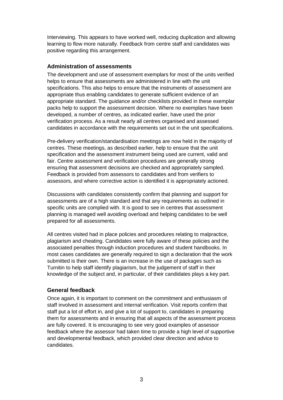Interviewing. This appears to have worked well, reducing duplication and allowing learning to flow more naturally. Feedback from centre staff and candidates was positive regarding this arrangement.

#### **Administration of assessments**

The development and use of assessment exemplars for most of the units verified helps to ensure that assessments are administered in line with the unit specifications. This also helps to ensure that the instruments of assessment are appropriate thus enabling candidates to generate sufficient evidence of an appropriate standard. The guidance and/or checklists provided in these exemplar packs help to support the assessment decision. Where no exemplars have been developed, a number of centres, as indicated earlier, have used the prior verification process. As a result nearly all centres organised and assessed candidates in accordance with the requirements set out in the unit specifications.

Pre-delivery verification/standardisation meetings are now held in the majority of centres. These meetings, as described earlier, help to ensure that the unit specification and the assessment instrument being used are current, valid and fair. Centre assessment and verification procedures are generally strong ensuring that assessment decisions are checked and appropriately sampled. Feedback is provided from assessors to candidates and from verifiers to assessors, and where corrective action is identified it is appropriately actioned.

Discussions with candidates consistently confirm that planning and support for assessments are of a high standard and that any requirements as outlined in specific units are complied with. It is good to see in centres that assessment planning is managed well avoiding overload and helping candidates to be well prepared for all assessments.

All centres visited had in place policies and procedures relating to malpractice, plagiarism and cheating. Candidates were fully aware of these policies and the associated penalties through induction procedures and student handbooks. In most cases candidates are generally required to sign a declaration that the work submitted is their own. There is an increase in the use of packages such as Turnitin to help staff identify plagiarism, but the judgement of staff in their knowledge of the subject and, in particular, of their candidates plays a key part.

#### **General feedback**

Once again, it is important to comment on the commitment and enthusiasm of staff involved in assessment and internal verification. Visit reports confirm that staff put a lot of effort in, and give a lot of support to, candidates in preparing them for assessments and in ensuring that all aspects of the assessment process are fully covered. It is encouraging to see very good examples of assessor feedback where the assessor had taken time to provide a high level of supportive and developmental feedback, which provided clear direction and advice to candidates.